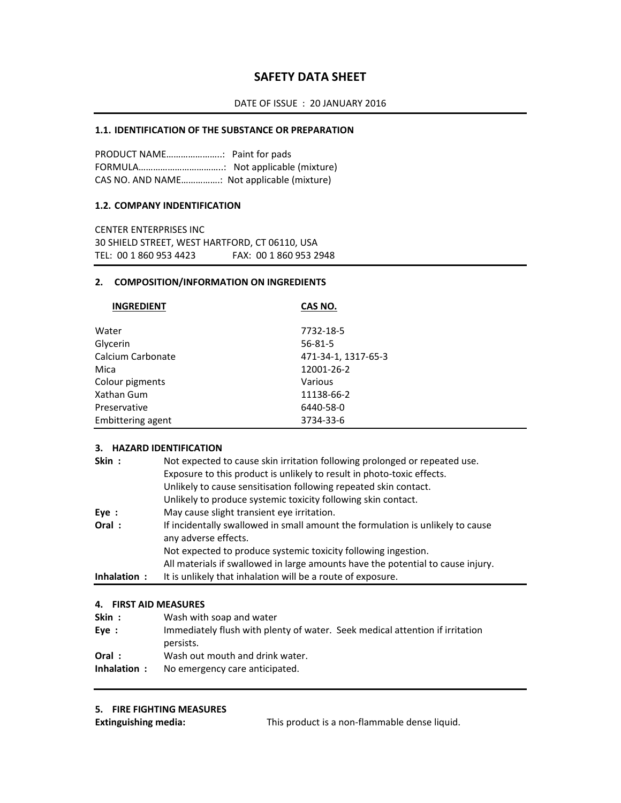## **SAFETY DATA SHEET**

## **1.1. IDENTIFICATION OF THE SUBSTANCE OR PREPARATION**

PRODUCT NAME…………………..: Paint for pads FORMULA……………………………..: Not applicable (mixture) CAS NO. AND NAME…………….: Not applicable (mixture)

### **1.2. COMPANY INDENTIFICATION**

CENTER ENTERPRISES INC 30 SHIELD STREET, WEST HARTFORD, CT 06110, USA TEL: 00 1 860 953 4423 FAX: 00 1 860 953 2948

### **2. COMPOSITION/INFORMATION ON INGREDIENTS**

| <b>INGREDIENT</b> | CAS NO.             |
|-------------------|---------------------|
|                   |                     |
| Water             | 7732-18-5           |
| Glycerin          | $56 - 81 - 5$       |
| Calcium Carbonate | 471-34-1, 1317-65-3 |
| Mica              | 12001-26-2          |
| Colour pigments   | Various             |
| Xathan Gum        | 11138-66-2          |
| Preservative      | 6440-58-0           |
| Embittering agent | 3734-33-6           |

#### **3. HAZARD IDENTIFICATION**

| Skin:       | Not expected to cause skin irritation following prolonged or repeated use.                             |
|-------------|--------------------------------------------------------------------------------------------------------|
|             | Exposure to this product is unlikely to result in photo-toxic effects.                                 |
|             | Unlikely to cause sensitisation following repeated skin contact.                                       |
|             | Unlikely to produce systemic toxicity following skin contact.                                          |
| Eye:        | May cause slight transient eye irritation.                                                             |
| Oral:       | If incidentally swallowed in small amount the formulation is unlikely to cause<br>any adverse effects. |
|             | Not expected to produce systemic toxicity following ingestion.                                         |
|             | All materials if swallowed in large amounts have the potential to cause injury.                        |
| Inhalation: | It is unlikely that inhalation will be a route of exposure.                                            |

#### **4. FIRST AID MEASURES**

| Skin:       | Wash with soap and water                                                     |
|-------------|------------------------------------------------------------------------------|
| Eve:        | Immediately flush with plenty of water. Seek medical attention if irritation |
|             | persists.                                                                    |
| Oral:       | Wash out mouth and drink water.                                              |
| Inhalation: | No emergency care anticipated.                                               |

### **5. FIRE FIGHTING MEASURES**

**Extinguishing media:** This product is a non-flammable dense liquid.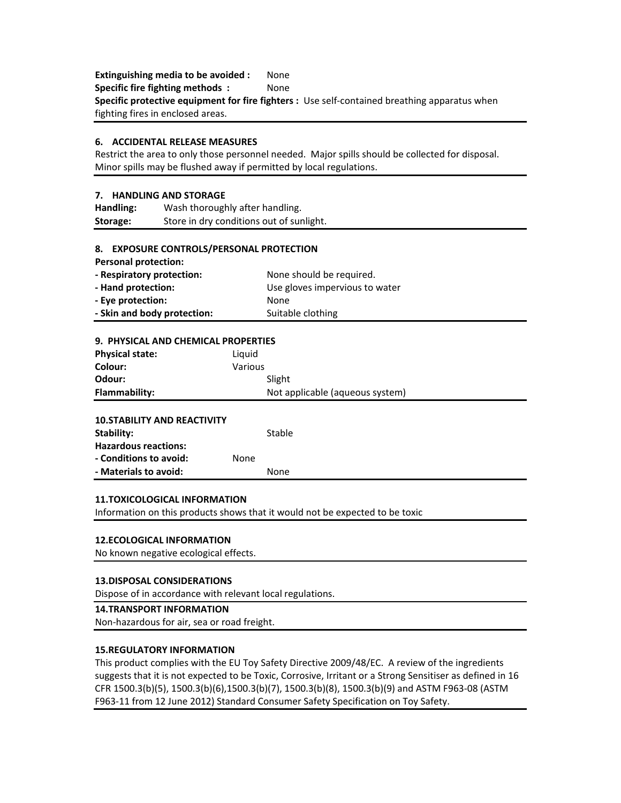**Extinguishing media to be avoided :** None **Specific fire fighting methods :** None **Specific protective equipment for fire fighters :** Use self‐contained breathing apparatus when fighting fires in enclosed areas.

#### **6. ACCIDENTAL RELEASE MEASURES**

Restrict the area to only those personnel needed. Major spills should be collected for disposal. Minor spills may be flushed away if permitted by local regulations.

#### **7. HANDLING AND STORAGE**

**Handling:** Wash thoroughly after handling. **Storage:** Store in dry conditions out of sunlight.

#### **8. EXPOSURE CONTROLS/PERSONAL PROTECTION**

**Personal protection:**

| - Respiratory protection:   | None should be required.       |
|-----------------------------|--------------------------------|
| - Hand protection:          | Use gloves impervious to water |
| - Eye protection:           | None                           |
| - Skin and body protection: | Suitable clothing              |

| 9. PHYSICAL AND CHEMICAL PROPERTIES |         |                                 |
|-------------------------------------|---------|---------------------------------|
| <b>Physical state:</b>              | Liquid  |                                 |
| Colour:                             | Various |                                 |
| Odour:                              |         | Slight                          |
| Flammability:                       |         | Not applicable (aqueous system) |
|                                     |         |                                 |
| <b>10. STABILITY AND REACTIVITY</b> |         |                                 |
| Stability:                          |         | Stable                          |
| <b>Hazardous reactions:</b>         |         |                                 |
| - Conditions to avoid:              | None    |                                 |
| - Materials to avoid:               |         | None                            |

## **11.TOXICOLOGICAL INFORMATION**

Information on this products shows that it would not be expected to be toxic

#### **12.ECOLOGICAL INFORMATION**

No known negative ecological effects.

### **13.DISPOSAL CONSIDERATIONS**

Dispose of in accordance with relevant local regulations.

## **14.TRANSPORT INFORMATION**

Non‐hazardous for air, sea or road freight.

## **15.REGULATORY INFORMATION**

This product complies with the EU Toy Safety Directive 2009/48/EC. A review of the ingredients suggests that it is not expected to be Toxic, Corrosive, Irritant or a Strong Sensitiser as defined in 16 CFR 1500.3(b)(5), 1500.3(b)(6),1500.3(b)(7), 1500.3(b)(8), 1500.3(b)(9) and ASTM F963‐08 (ASTM F963-11 from 12 June 2012) Standard Consumer Safety Specification on Toy Safety.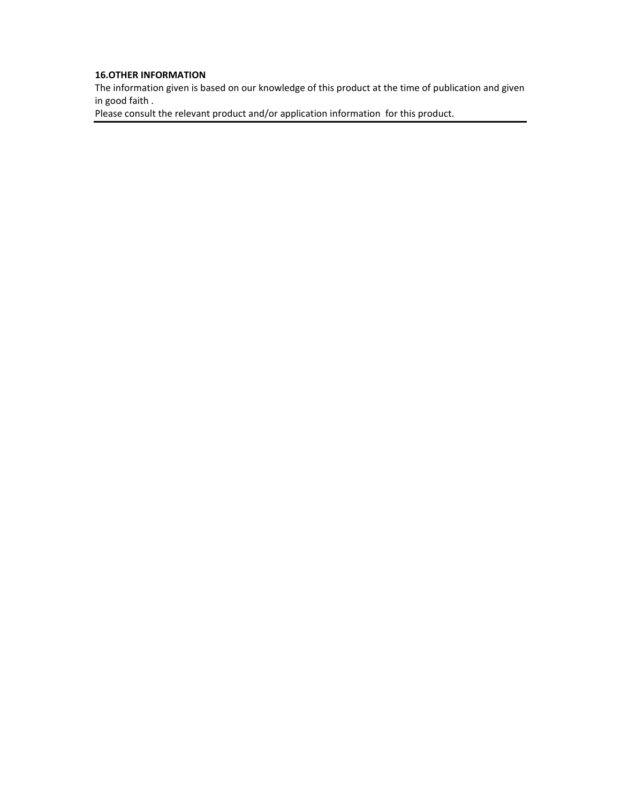## **16.OTHER INFORMATION**

The information given is based on our knowledge of this product at the time of publication and given in good faith .

Please consult the relevant product and/or application information for this product.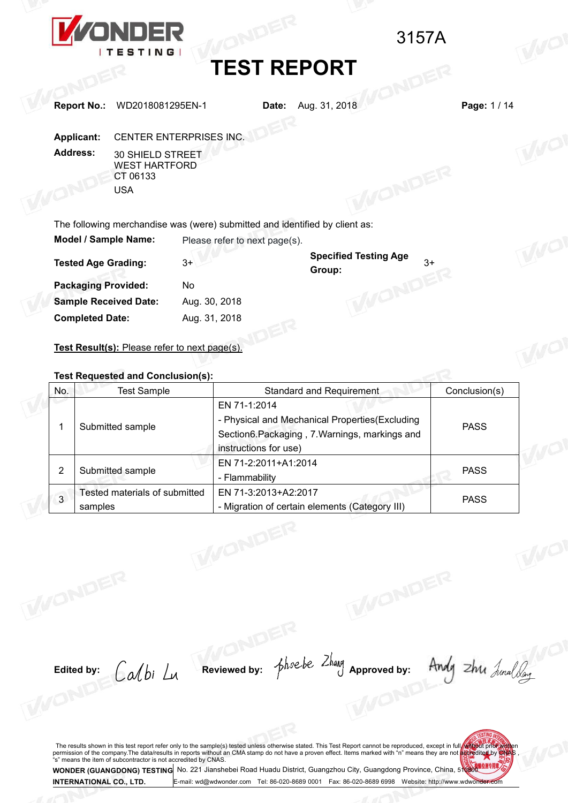

|              |                        | <b>ZONDER</b>                                                  |                                | 3157A                                                                                                        |               |      |
|--------------|------------------------|----------------------------------------------------------------|--------------------------------|--------------------------------------------------------------------------------------------------------------|---------------|------|
|              |                        | <b>ITESTING</b>                                                |                                |                                                                                                              |               |      |
|              |                        |                                                                |                                | <b>TEST REPORT</b>                                                                                           |               |      |
|              |                        | WD2018081295EN-1                                               |                                |                                                                                                              | Page: 1/14    |      |
|              | <b>Report No.:</b>     |                                                                |                                | Aug. 31, 2018<br>Date:                                                                                       |               |      |
|              | <b>Applicant:</b>      | CENTER ENTERPRISES INC.                                        |                                |                                                                                                              |               |      |
|              | <b>Address:</b>        | 30 SHIELD STREET                                               |                                |                                                                                                              |               |      |
|              |                        | <b>WEST HARTFORD</b><br>CT 06133                               |                                |                                                                                                              |               |      |
|              |                        | <b>USA</b>                                                     |                                |                                                                                                              |               |      |
|              |                        |                                                                |                                |                                                                                                              |               |      |
|              |                        | Model / Sample Name:                                           |                                | The following merchandise was (were) submitted and identified by client as:<br>Please refer to next page(s). |               |      |
|              |                        |                                                                |                                | <b>Specified Testing Age</b>                                                                                 |               | IVOI |
|              |                        | <b>Tested Age Grading:</b>                                     | $3+$                           | $3+$<br>Group:                                                                                               |               |      |
|              |                        | <b>Packaging Provided:</b>                                     | No                             | WONDER                                                                                                       |               |      |
|              | <b>Completed Date:</b> | <b>Sample Received Date:</b>                                   | Aug. 30, 2018<br>Aug. 31, 2018 |                                                                                                              |               |      |
|              |                        |                                                                |                                |                                                                                                              |               |      |
|              |                        | Test Result(s): Please refer to next page(s).                  |                                |                                                                                                              |               | WO   |
|              |                        |                                                                |                                |                                                                                                              |               |      |
| No.          |                        | <b>Test Requested and Conclusion(s):</b><br><b>Test Sample</b> |                                | Standard and Requirement                                                                                     | Conclusion(s) |      |
|              |                        |                                                                |                                | EN 71-1:2014                                                                                                 |               |      |
| $\mathbf{1}$ |                        | Submitted sample                                               |                                | - Physical and Mechanical Properties(Excluding<br>Section6.Packaging, 7.Warnings, markings and               | <b>PASS</b>   |      |

|                |                                                                                           | Group:                                                                                                                                   |               |  |
|----------------|-------------------------------------------------------------------------------------------|------------------------------------------------------------------------------------------------------------------------------------------|---------------|--|
|                | <b>Packaging Provided:</b><br>No                                                          |                                                                                                                                          |               |  |
|                | <b>Sample Received Date:</b>                                                              | Aug. 30, 2018                                                                                                                            |               |  |
|                | <b>Completed Date:</b>                                                                    | Aug. 31, 2018                                                                                                                            |               |  |
|                | Test Result(s): Please refer to next page(s).<br><b>Test Requested and Conclusion(s):</b> |                                                                                                                                          |               |  |
| No.            | <b>Test Sample</b>                                                                        | Standard and Requirement                                                                                                                 | Conclusion(s) |  |
| 1              | Submitted sample                                                                          | EN 71-1:2014<br>- Physical and Mechanical Properties (Excluding<br>Section6.Packaging, 7.Warnings, markings and<br>instructions for use) | <b>PASS</b>   |  |
| $\overline{c}$ | Submitted sample                                                                          | EN 71-2:2011+A1:2014<br>- Flammability                                                                                                   | <b>PASS</b>   |  |
| $\overline{3}$ | Tested materials of submitted<br>samples                                                  | EN 71-3:2013+A2:2017<br>- Migration of certain elements (Category III)                                                                   | <b>PASS</b>   |  |

Edited by: Calbi Lu Reviewed by: phoebe 2hay Approved by: Andy 2hu Analogy

**Editedby:**  $CA/bi$  L<sub>M</sub> Reviewed by:  $5hoebe$  2hang approved by: Andy 2hM  $\frac{1}{2}hme$  2hM  $\frac{1}{2}hme$  2h  $\frac{1}{2}hme$  2h  $\frac{1}{2}hme$  2h  $\frac{1}{2}hme$  2h  $\frac{1}{2}hme$  2h  $\frac{1}{2}hme$  2h  $\frac{1}{2}hme$  2h  $\frac{1}{2}hme$  2h  $\frac{1}{2}hme$  2 The results shown in this test report refer only to the sample(s) test permission of the company.The data/results in reports without an C<sup>4</sup>s" means the item of subcontractor is not accredited by CNAS.<br> **WONDER (GUANGDONG)** No. 221 Jianshebei Road Huadu District, Guangzhou City, Guangdong Province, China, 5108000 China, 5108000 China, 5108000 China, 5108000 China, 51080000 China, 51080000 China, 51080000 China, 51080000 China, 51080000 China,

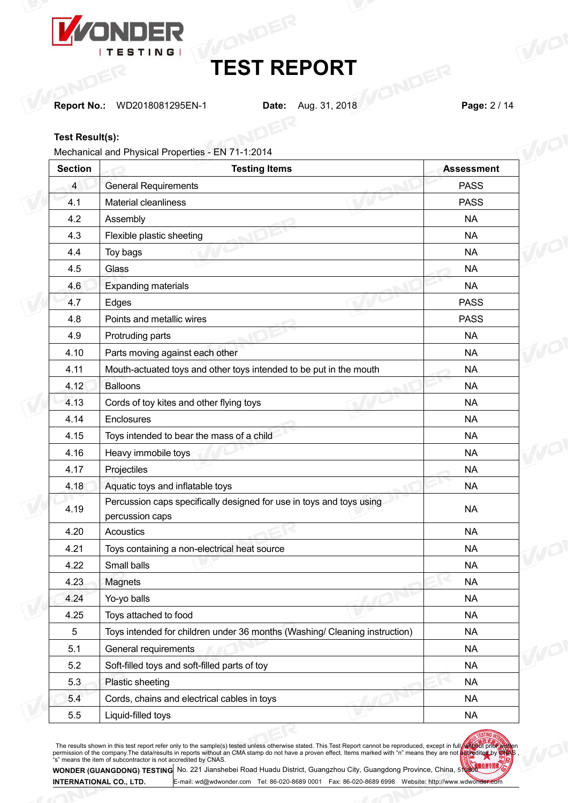

**Report No.:** WD2018081295EN-1 **Date:** Aug. 31, 2018 **Page:** 2 / 14

## **Test Result(s):**

Mechanical and Physical Properties - EN 71-1:2014

| <b>Section</b> | <b>Testing Items</b>                                                                    | <b>Assessment</b> |
|----------------|-----------------------------------------------------------------------------------------|-------------------|
| $\overline{4}$ | <b>General Requirements</b>                                                             | <b>PASS</b>       |
| 4.1            | Material cleanliness                                                                    | <b>PASS</b>       |
| 4.2            | Assembly                                                                                | <b>NA</b>         |
| 4.3            | Flexible plastic sheeting                                                               | <b>NA</b>         |
| 4.4            | Toy bags                                                                                | <b>NA</b>         |
| 4.5            | Glass                                                                                   | <b>NA</b>         |
| 4.6            | <b>Expanding materials</b>                                                              | <b>NA</b>         |
| 4.7            | Edges                                                                                   | <b>PASS</b>       |
| 4.8            | Points and metallic wires                                                               | <b>PASS</b>       |
| 4.9            | Protruding parts                                                                        | <b>NA</b>         |
| 4.10           | Parts moving against each other                                                         | <b>NA</b>         |
| 4.11           | Mouth-actuated toys and other toys intended to be put in the mouth                      | <b>NA</b>         |
| 4.12           | <b>Balloons</b>                                                                         | <b>NA</b>         |
| 4.13           | Cords of toy kites and other flying toys                                                | <b>NA</b>         |
| 4.14           | Enclosures                                                                              | <b>NA</b>         |
| 4.15           | Toys intended to bear the mass of a child                                               | <b>NA</b>         |
| 4.16           | Heavy immobile toys                                                                     | <b>NA</b>         |
| 4.17           | Projectiles                                                                             | <b>NA</b>         |
| 4.18           | Aquatic toys and inflatable toys                                                        | <b>NA</b>         |
| 4.19           | Percussion caps specifically designed for use in toys and toys using<br>percussion caps | <b>NA</b>         |
| 4.20           | <b>Acoustics</b>                                                                        | <b>NA</b>         |
| 4.21           | Toys containing a non-electrical heat source                                            | <b>NA</b>         |
| 4.22           | Small balls                                                                             | <b>NA</b>         |
| 4.23           | Magnets                                                                                 | <b>NA</b>         |
| 4.24           | Yo-yo balls                                                                             | <b>NA</b>         |
| 4.25           | Toys attached to food                                                                   | <b>NA</b>         |
| $\sqrt{5}$     | Toys intended for children under 36 months (Washing/ Cleaning instruction)              | <b>NA</b>         |
| 5.1            | General requirements                                                                    | <b>NA</b>         |
| 5.2            | Soft-filled toys and soft-filled parts of toy                                           | <b>NA</b>         |
| 5.3            | Plastic sheeting                                                                        | <b>NA</b>         |
| 5.4            | Cords, chains and electrical cables in toys                                             | <b>NA</b>         |
| 5.5            | Liquid-filled toys                                                                      | <b>NA</b>         |

The results shown in this test report refer only to the sample(s) tested unless otherwise stated. This Test Report cannot be reproduced, except in full we to the streport permission of the company. The data/results in repo



**WONDER (GUANGDONG) TESTING INTERNATIONAL CO., LTD.** No. <sup>221</sup> Jianshebei Road Huadu District, Guangzhou City, Guangdong Province, China, <sup>510800</sup> E-mail: [wd@wdwonder.com](mailto:wd@wdwonder.com) Tel: 86-020-8689 0001 Fax: 86-020-8689 6998 Website: http://www.wdwonder.com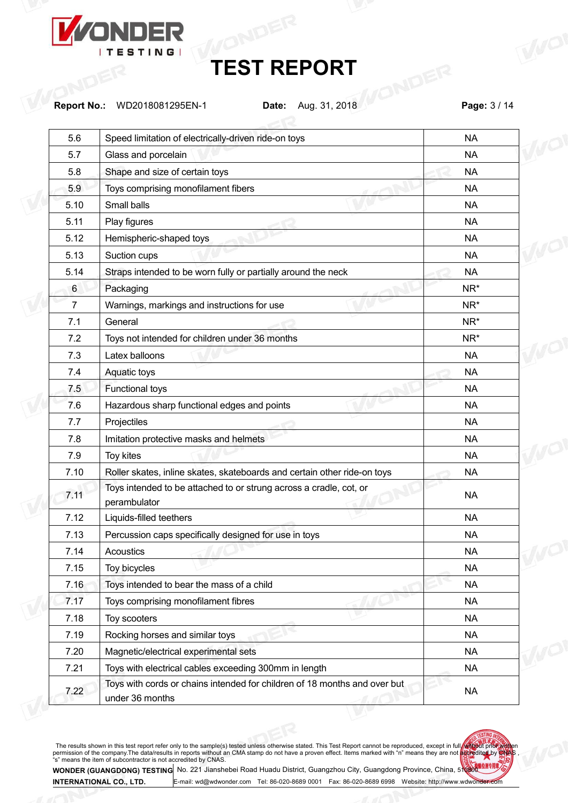

**Report No.:** WD2018081295EN-1 **Date:** Aug. 31, 2018 **Page:** 3 / 14

| 5.6            | Speed limitation of electrically-driven ride-on toys                                         | <b>NA</b>       |  |
|----------------|----------------------------------------------------------------------------------------------|-----------------|--|
| 5.7            | Glass and porcelain                                                                          | <b>NA</b>       |  |
| 5.8            | Shape and size of certain toys                                                               | <b>NA</b>       |  |
| 5.9            | Toys comprising monofilament fibers                                                          | <b>NA</b>       |  |
| 5.10           | Small balls                                                                                  | <b>NA</b>       |  |
| 5.11           | Play figures                                                                                 | <b>NA</b>       |  |
| 5.12           | Hemispheric-shaped toys                                                                      | <b>NA</b>       |  |
| 5.13           | Suction cups                                                                                 | <b>NA</b>       |  |
| 5.14           | Straps intended to be worn fully or partially around the neck                                | <b>NA</b>       |  |
| 6              | Packaging                                                                                    | NR <sup>*</sup> |  |
| $\overline{7}$ | Warnings, markings and instructions for use                                                  | NR <sup>*</sup> |  |
| 7.1            | General                                                                                      | NR <sup>*</sup> |  |
| 7.2            | Toys not intended for children under 36 months                                               | NR <sup>*</sup> |  |
| 7.3            | Latex balloons                                                                               | <b>NA</b>       |  |
| 7.4            | Aquatic toys                                                                                 | <b>NA</b>       |  |
| 7.5            | <b>Functional toys</b>                                                                       | <b>NA</b>       |  |
| 7.6            | Hazardous sharp functional edges and points                                                  | <b>NA</b>       |  |
| 7.7            | Projectiles                                                                                  | <b>NA</b>       |  |
| 7.8            | Imitation protective masks and helmets                                                       | <b>NA</b>       |  |
| 7.9            | Toy kites                                                                                    | <b>NA</b>       |  |
| 7.10           | Roller skates, inline skates, skateboards and certain other ride-on toys                     | <b>NA</b>       |  |
| 7.11           | Toys intended to be attached to or strung across a cradle, cot, or<br>perambulator           | <b>NA</b>       |  |
| 7.12           | Liquids-filled teethers                                                                      | <b>NA</b>       |  |
| 7.13           | Percussion caps specifically designed for use in toys                                        | <b>NA</b>       |  |
| 7.14           | Acoustics                                                                                    | <b>NA</b>       |  |
| 7.15           | Toy bicycles                                                                                 | <b>NA</b>       |  |
| 7.16           | Toys intended to bear the mass of a child                                                    | <b>NA</b>       |  |
| 7.17           | Toys comprising monofilament fibres                                                          | <b>NA</b>       |  |
| 7.18           | Toy scooters                                                                                 | <b>NA</b>       |  |
| 7.19           | Rocking horses and similar toys                                                              | <b>NA</b>       |  |
| 7.20           | Magnetic/electrical experimental sets                                                        | <b>NA</b>       |  |
| 7.21           | Toys with electrical cables exceeding 300mm in length                                        | <b>NA</b>       |  |
| 7.22           | Toys with cords or chains intended for children of 18 months and over but<br>under 36 months | <b>NA</b>       |  |
|                |                                                                                              |                 |  |

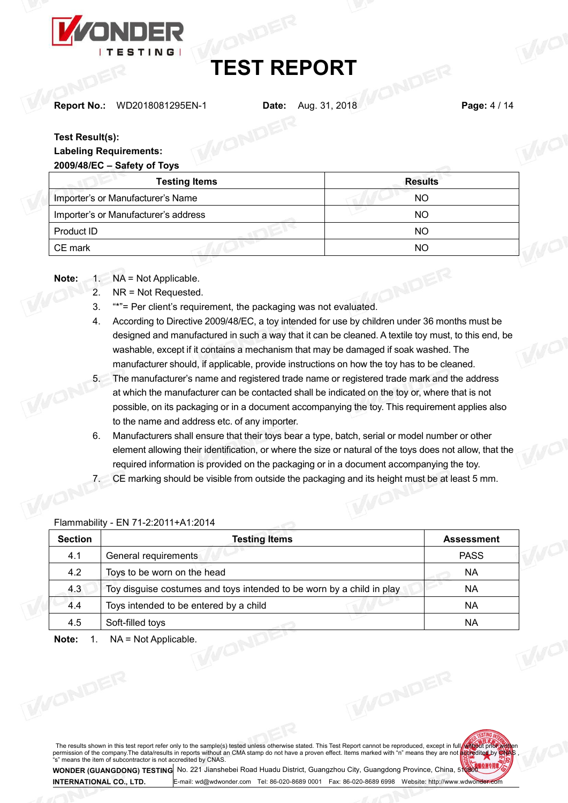

**Report No.:** WD2018081295EN-1 **Date:** Aug. 31, 2018 **Page:** 4 / 14

## **Test Result(s):**

## **Labeling Requirements: 2009/48/EC – Safety of Toys**

| $2003/40/EV = 3dHUV$ OF TOYS         |                |  |
|--------------------------------------|----------------|--|
| <b>Testing Items</b>                 | <b>Results</b> |  |
| Importer's or Manufacturer's Name    | NO.            |  |
| Importer's or Manufacturer's address | NO.            |  |
| Product ID                           | NO             |  |
| CE mark                              | NO             |  |

Note: 1. NA = Not Applicable.

- 2. NR = Not Requested.
- 3. "\*"= Per client's requirement, the packaging was not evaluated.
- 4. According to Directive 2009/48/EC, a toy intended for use by children under 36 months must be designed and manufactured in such a way that it can be cleaned. A textile toy must, to this end, be washable, except if it contains a mechanism that may be damaged if soak washed. The manufacturer should, if applicable, provide instructions on how the toy has to be cleaned.<br>5. The manufacturer's name and registered trade name or registered trade mark and the address
- at which the manufacturer can be contacted shall be indicated on the toy or, where that is not possible, on its packaging or in a document accompanying the toy. This requirement applies also to the name and address etc. of any importer.
- 6. Manufacturers shall ensure that their toys bear a type, batch, serial or model number or other element allowing their identification, or where the size or natural of the toys does not allow, that the required information is provided on the packaging or in a document accompanying the toy.
- 7. CE marking should be visible from outside the packaging and its height must be at least 5 mm.

| <b>PASS</b><br>4.1<br>General requirements<br>4.2<br>Toys to be worn on the head<br>NA.<br>4.3<br>Toy disguise costumes and toys intended to be worn by a child in play<br>NA. |    |
|--------------------------------------------------------------------------------------------------------------------------------------------------------------------------------|----|
|                                                                                                                                                                                |    |
|                                                                                                                                                                                |    |
|                                                                                                                                                                                |    |
| 4.4<br>Toys intended to be entered by a child                                                                                                                                  | NA |
| 4.5<br>Soft-filled toys<br>NA.                                                                                                                                                 |    |

Flammability - EN 71-2:2011+A1:2014

The results shown in this test report refer only to the sample(s) tested unless otherwise stated. This Test Report cannot be reproduced, except in full with the permission of the company. The data/results in reports without an CMA stamp do not have a proven effect. Items marked with "n" means they are not bedredited by CNAS.<br>"s" means the item of subcontractor is not accredited by

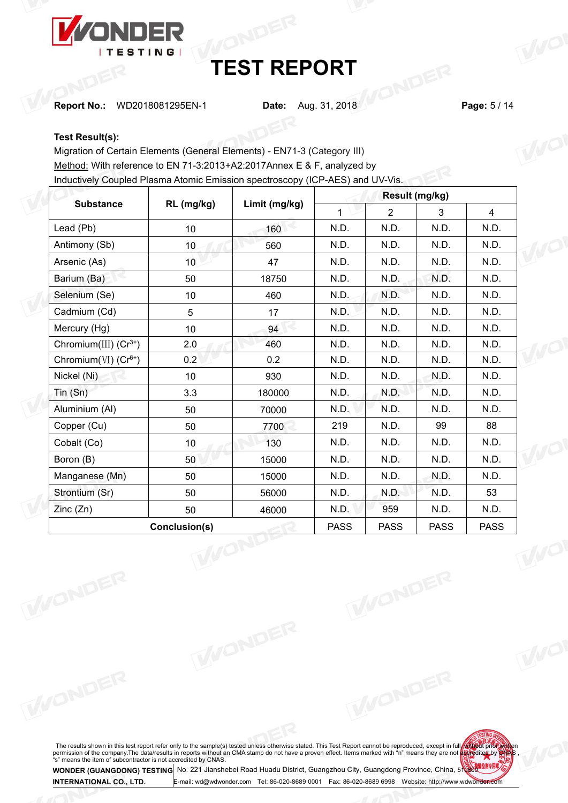

**Report No.:** WD2018081295EN-1 **Date:** Aug. 31, 2018 **Page:** 5 / 14

## **Test Result(s):**

Migration of Certain Elements (General Elements) - EN71-3 (Category III) Method: With reference to EN 71-3:2013+A2:2017Annex E & F, analyzed by Inductively Coupled Plasma Atomic Emission spectroscopy (ICP-AES) and UV-Vis.

|                             |                 |               | Result (mg/kg) |                |             |                |  |
|-----------------------------|-----------------|---------------|----------------|----------------|-------------|----------------|--|
| <b>Substance</b>            | RL (mg/kg)      | Limit (mg/kg) | $\mathbf{1}$   | $\overline{2}$ | 3           | $\overline{4}$ |  |
| Lead (Pb)                   | 10 <sub>1</sub> | 160           | N.D.           | N.D.           | N.D.        | N.D.           |  |
| Antimony (Sb)               | 10 <sub>1</sub> | 560           | N.D.           | N.D.           | N.D.        | N.D.           |  |
| Arsenic (As)                | 10 <sub>1</sub> | 47            | N.D.           | N.D.           | N.D.        | N.D.           |  |
| Barium (Ba)                 | 50              | 18750         | N.D.           | N.D.           | N.D.        | N.D.           |  |
| Selenium (Se)               | 10 <sup>1</sup> | 460           | N.D.           | N.D.           | N.D.        | N.D.           |  |
| Cadmium (Cd)                | 5               | 17            | N.D.           | N.D.           | N.D.        | N.D.           |  |
| Mercury (Hg)                | 10 <sub>1</sub> | 94            | N.D.           | N.D.           | N.D.        | N.D.           |  |
| Chromium(III) $(Cr^{3+})$   | 2.0             | 460           | N.D.           | N.D.           | N.D.        | N.D.           |  |
| Chromium( $VI$ ) ( $Cr6+$ ) | 0.2             | 0.2           | N.D.           | N.D.           | N.D.        | N.D.           |  |
| Nickel (Ni)                 | 10 <sup>°</sup> | 930           | N.D.           | N.D.           | N.D.        | N.D.           |  |
| Tin(Sn)                     | 3.3             | 180000        | N.D.           | N.D.           | N.D.        | N.D.           |  |
| Aluminium (Al)              | 50              | 70000         | N.D.           | N.D.           | N.D.        | N.D.           |  |
| Copper (Cu)                 | 50              | 7700          | 219            | N.D.           | 99          | 88             |  |
| Cobalt (Co)                 | 10 <sup>1</sup> | 130           | N.D.           | N.D.           | N.D.        | N.D.           |  |
| Boron (B)                   | 50              | 15000         | N.D.           | N.D.           | N.D.        | N.D.           |  |
| Manganese (Mn)              | 50              | 15000         | N.D.           | N.D.           | N.D.        | N.D.           |  |
| Strontium (Sr)              | 50              | 56000         | N.D.           | N.D.           | N.D.        | 53             |  |
| Zinc(Zn)                    | 50              | 46000         | N.D.           | 959            | N.D.        | N.D.           |  |
|                             | Conclusion(s)   |               | <b>PASS</b>    | <b>PASS</b>    | <b>PASS</b> | <b>PASS</b>    |  |

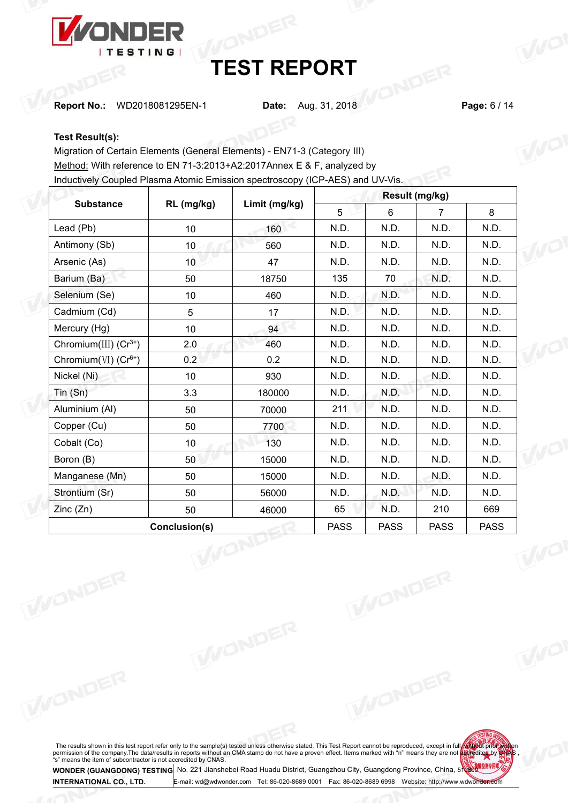

**Report No.:** WD2018081295EN-1 **Date:** Aug. 31, 2018 **Page:** 6 / 14

## **Test Result(s):**

Migration of Certain Elements (General Elements) - EN71-3 (Category III) Method: With reference to EN 71-3:2013+A2:2017Annex E & F, analyzed by Inductively Coupled Plasma Atomic Emission spectroscopy (ICP-AES) and UV-Vis.

|                                     |                 |               |             | Result (mg/kg) |                |             |
|-------------------------------------|-----------------|---------------|-------------|----------------|----------------|-------------|
| <b>Substance</b>                    | RL (mg/kg)      | Limit (mg/kg) | 5           | 6              | $\overline{7}$ | 8           |
| Lead (Pb)                           | 10 <sup>°</sup> | 160           | N.D.        | N.D.           | N.D.           | N.D.        |
| Antimony (Sb)                       | 10 <sub>1</sub> | 560           | N.D.        | N.D.           | N.D.           | N.D.        |
| Arsenic (As)                        | 10 <sup>°</sup> | 47            | N.D.        | N.D.           | N.D.           | N.D.        |
| Barium (Ba)                         | 50              | 18750         | 135         | 70             | N.D.           | N.D.        |
| Selenium (Se)                       | 10              | 460           | N.D.        | N.D.           | N.D.           | N.D.        |
| Cadmium (Cd)                        | 5               | 17            | N.D.        | N.D.           | N.D.           | N.D.        |
| Mercury (Hg)                        | 10              | 94            | N.D.        | N.D.           | N.D.           | N.D.        |
| Chromium(III) $(Cr^{3+})$           | 2.0             | 460           | N.D.        | N.D.           | N.D.           | N.D.        |
| Chromium $(VI)$ (Cr <sup>6+</sup> ) | 0.2             | 0.2           | N.D.        | N.D.           | N.D.           | N.D.        |
| Nickel (Ni)                         | 10              | 930           | N.D.        | N.D.           | N.D.           | N.D.        |
| $T$ in $(Sn)$                       | 3.3             | 180000        | N.D.        | N.D.           | N.D.           | N.D.        |
| Aluminium (AI)                      | 50              | 70000         | 211         | N.D.           | N.D.           | N.D.        |
| Copper (Cu)                         | 50              | 7700          | N.D.        | N.D.           | N.D.           | N.D.        |
| Cobalt (Co)                         | 10              | 130           | N.D.        | N.D.           | N.D.           | N.D.        |
| Boron (B)                           | 50              | 15000         | N.D.        | N.D.           | N.D.           | N.D.        |
| Manganese (Mn)                      | 50              | 15000         | N.D.        | N.D.           | N.D.           | N.D.        |
| Strontium (Sr)                      | 50              | 56000         | N.D.        | N.D.           | N.D.           | N.D.        |
| Zinc(Zn)                            | 50              | 46000         | 65          | N.D.           | 210            | 669         |
|                                     | Conclusion(s)   |               | <b>PASS</b> | <b>PASS</b>    | <b>PASS</b>    | <b>PASS</b> |

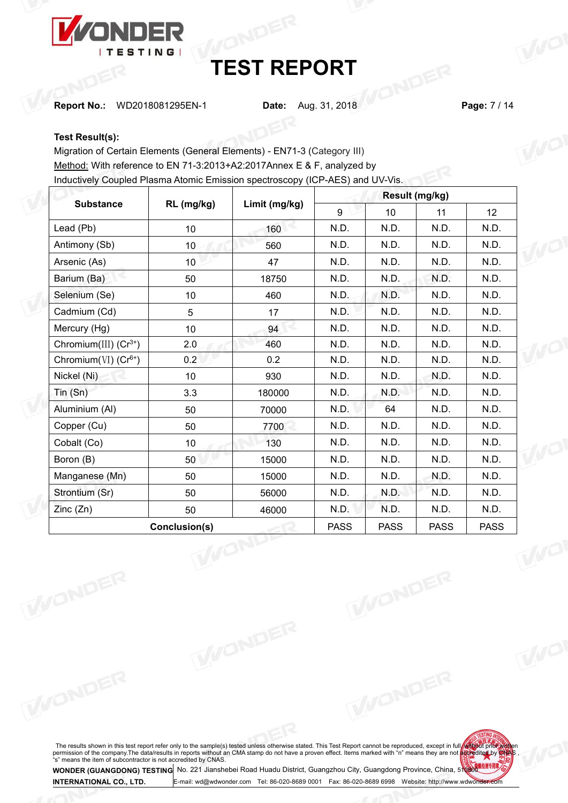

**Report No.:** WD2018081295EN-1 **Date:** Aug. 31, 2018 **Page:** 7 / 14

## **Test Result(s):**

Migration of Certain Elements (General Elements) - EN71-3 (Category III) Method: With reference to EN 71-3:2013+A2:2017Annex E & F, analyzed by Inductively Coupled Plasma Atomic Emission spectroscopy (ICP-AES) and UV-Vis.

|                             |                       |               |             | Result (mg/kg) |             |                 |
|-----------------------------|-----------------------|---------------|-------------|----------------|-------------|-----------------|
| <b>Substance</b>            | RL (mg/kg)            | Limit (mg/kg) | 9           | 10             | 11          | 12 <sup>2</sup> |
| Lead (Pb)                   | 10 <sup>1</sup>       | 160           | N.D.        | N.D.           | N.D.        | N.D.            |
| Antimony (Sb)               | 10 <sup>°</sup>       | 560           | N.D.        | N.D.           | N.D.        | N.D.            |
| Arsenic (As)                | 10 <sup>°</sup>       | 47            | N.D.        | N.D.           | N.D.        | N.D.            |
| Barium (Ba)                 | 50                    | 18750         | N.D.        | N.D.           | N.D.        | N.D.            |
| Selenium (Se)               | 10                    | 460           | N.D.        | N.D.           | N.D.        | N.D.            |
| Cadmium (Cd)                | 5                     | 17            | N.D.        | N.D.           | N.D.        | N.D.            |
| Mercury (Hg)                | 10                    | 94            | N.D.        | N.D.           | N.D.        | N.D.            |
| Chromium(III) $(Cr^{3+})$   | 2.0                   | 460           | N.D.        | N.D.           | N.D.        | N.D.            |
| Chromium( $VI$ ) ( $Cr6+$ ) | 0.2                   | 0.2           | N.D.        | N.D.           | N.D.        | N.D.            |
| Nickel (Ni)                 | 10                    | 930           | N.D.        | N.D.           | N.D.        | N.D.            |
| Tin (Sn)                    | 3.3                   | 180000        | N.D.        | N.D.           | N.D.        | N.D.            |
| Aluminium (Al)              | 50                    | 70000         | N.D.        | 64             | N.D.        | N.D.            |
| Copper (Cu)                 | 50                    | 7700          | N.D.        | N.D.           | N.D.        | N.D.            |
| Cobalt (Co)                 | 10                    | 130           | N.D.        | N.D.           | N.D.        | N.D.            |
| Boron (B)                   | 50                    | 15000         | N.D.        | N.D.           | N.D.        | N.D.            |
| Manganese (Mn)              | 50                    | 15000         | N.D.        | N.D.           | N.D.        | N.D.            |
| Strontium (Sr)              | 50                    | 56000         | N.D.        | N.D.           | N.D.        | N.D.            |
| Zinc(Zn)                    | 50                    | 46000         | N.D.        | N.D.           | N.D.        | N.D.            |
|                             | Conclusion(s)<br>WONE |               | <b>PASS</b> | <b>PASS</b>    | <b>PASS</b> | <b>PASS</b>     |

The results shown in this test report refer only to the sample(s) tested unless otherwise stated. This Test Report cannot be reproduced, except in full we to the streport permission of the company. The data/results in repo

E-mail: [wd@wdwonder.com](mailto:wd@wdwonder.com) Tel: 86-020-8689 0001 Fax: 86-020-8689 6998 Website: http://www.wdwonder.com

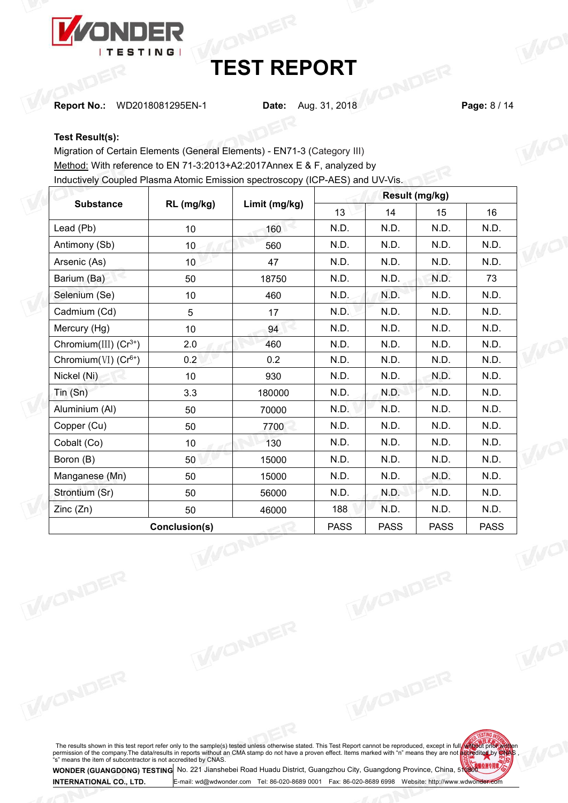

**Report No.:** WD2018081295EN-1 **Date:** Aug. 31, 2018 **Page:** 8 / 14

## **Test Result(s):**

Migration of Certain Elements (General Elements) - EN71-3 (Category III) Method: With reference to EN 71-3:2013+A2:2017Annex E & F, analyzed by Inductively Coupled Plasma Atomic Emission spectroscopy (ICP-AES) and UV-Vis.

|                             |                 | Limit (mg/kg) |             |             |             |             |  |
|-----------------------------|-----------------|---------------|-------------|-------------|-------------|-------------|--|
| <b>Substance</b>            | RL (mg/kg)      |               | 13          | 14          | 15          | 16          |  |
| Lead (Pb)                   | 10 <sub>1</sub> | 160           | N.D.        | N.D.        | N.D.        | N.D.        |  |
| Antimony (Sb)               | 10 <sub>1</sub> | 560           | N.D.        | N.D.        | N.D.        | N.D.        |  |
| Arsenic (As)                | 10 <sup>°</sup> | 47            | N.D.        | N.D.        | N.D.        | N.D.        |  |
| Barium (Ba)                 | 50              | 18750         | N.D.        | N.D.        | N.D.        | 73          |  |
| Selenium (Se)               | 10 <sub>1</sub> | 460           | N.D.        | N.D.        | N.D.        | N.D.        |  |
| Cadmium (Cd)                | 5               | 17            | N.D.        | N.D.        | N.D.        | N.D.        |  |
| Mercury (Hg)                | 10 <sup>°</sup> | 94            | N.D.        | N.D.        | N.D.        | N.D.        |  |
| Chromium(III) $(Cr^{3+})$   | 2.0             | 460           | N.D.        | N.D.        | N.D.        | N.D.        |  |
| Chromium( $VI$ ) ( $Cr6+$ ) | 0.2             | 0.2           | N.D.        | N.D.        | N.D.        | N.D.        |  |
| Nickel (Ni)                 | 10 <sup>°</sup> | 930           | N.D.        | N.D.        | N.D.        | N.D.        |  |
| Tin(Sn)                     | 3.3             | 180000        | N.D.        | N.D.        | N.D.        | N.D.        |  |
| Aluminium (Al)              | 50              | 70000         | N.D.        | N.D.        | N.D.        | N.D.        |  |
| Copper (Cu)                 | 50              | 7700          | N.D.        | N.D.        | N.D.        | N.D.        |  |
| Cobalt (Co)                 | 10 <sub>1</sub> | 130           | N.D.        | N.D.        | N.D.        | N.D.        |  |
| Boron (B)                   | 50              | 15000         | N.D.        | N.D.        | N.D.        | N.D.        |  |
| Manganese (Mn)              | 50              | 15000         | N.D.        | N.D.        | N.D.        | N.D.        |  |
| Strontium (Sr)              | 50              | 56000         | N.D.        | N.D.        | N.D.        | N.D.        |  |
| Zinc(Zn)                    | 50              | 46000         | 188         | N.D.        | N.D.        | N.D.        |  |
|                             | Conclusion(s)   |               | <b>PASS</b> | <b>PASS</b> | <b>PASS</b> | <b>PASS</b> |  |

The results shown in this test report refer only to the sample(s) tested unless otherwise stated. This Test Report cannot be reproduced, except in full we to the streport permission of the company. The data/results in repo

E-mail: [wd@wdwonder.com](mailto:wd@wdwonder.com) Tel: 86-020-8689 0001 Fax: 86-020-8689 6998 Website: http://www.wdwonder.com

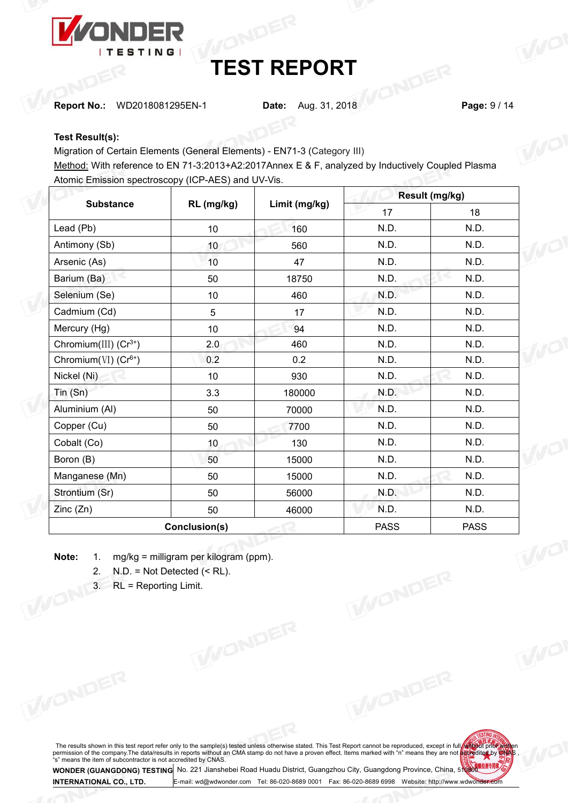

**Report No.:** WD2018081295EN-1 **Date:** Aug. 31, 2018 **Page:** 9 / 14

## **Test Result(s):**

Migration of Certain Elements (General Elements) - EN71-3 (Category III)

Migration of Certain Elements (General Elements) - EN71-3 (Category III)<br>Method: With reference to EN 71-3:2013+A2:2017Annex E & F, analyzed by Inductively Coupled Plasma Atomic Emission spectroscopy (ICP-AES) and UV-Vis.

|                             |                 |               | Result (mg/kg) |             |     |
|-----------------------------|-----------------|---------------|----------------|-------------|-----|
| <b>Substance</b>            | RL (mg/kg)      | Limit (mg/kg) | 17             | 18          |     |
| Lead (Pb)                   | 10 <sub>1</sub> | 160           | N.D.           | N.D.        |     |
| Antimony (Sb)               | 10              | 560           | N.D.           | N.D.        | TWO |
| Arsenic (As)                | 10 <sup>1</sup> | 47            | N.D.           | N.D.        |     |
| Barium (Ba)                 | 50              | 18750         | N.D.           | N.D.        |     |
| Selenium (Se)               | 10 <sub>1</sub> | 460           | N.D.           | N.D.        |     |
| Cadmium (Cd)                | 5               | 17            | N.D.           | N.D.        |     |
| Mercury (Hg)                | 10 <sub>1</sub> | 94            | N.D.           | N.D.        |     |
| Chromium(III) $(Cr^{3+})$   | 2.0             | 460           | N.D.           | N.D.        | WO  |
| Chromium( $VI$ ) ( $Cr6+$ ) | 0.2             | 0.2           | N.D.           | N.D.        |     |
| Nickel (Ni)                 | 10              | 930           | N.D.           | N.D.        |     |
| Tin(Sn)                     | 3.3             | 180000        | N.D.           | N.D.        |     |
| Aluminium (Al)              | 50              | 70000         | N.D.           | N.D.        |     |
| Copper (Cu)                 | 50              | 7700          | N.D.           | N.D.        |     |
| Cobalt (Co)                 | 10              | 130           | N.D.           | N.D.        |     |
| Boron (B)                   | 50              | 15000         | N.D.           | N.D.        | WO  |
| Manganese (Mn)              | 50              | 15000         | N.D.           | N.D.        |     |
| Strontium (Sr)              | 50              | 56000         | N.D.           | N.D.        |     |
| Zinc(Zn)                    | 50              | 46000         | N.D.           | N.D.        |     |
|                             | Conclusion(s)   |               | <b>PASS</b>    | <b>PASS</b> |     |
|                             |                 |               |                |             |     |

**Note:** 1. mg/kg = milligram per kilogram (ppm).<br>
2. N.D. = Not Detected (< RL).<br>
3. RL = Reporting Limit.

2.  $N.D. = Not detected (< RL)$ .

3. RL = Reporting Limit.

The results shown in this test report refer only to the sample(s) tested unless otherwise stated. This Test Report cannot be reproduced, except in full we to the streport permission of the company. The data/results in repo



**WONDER (GUANGDONG) TESTING INTERNATIONAL CO., LTD.** No. <sup>221</sup> Jianshebei Road Huadu District, Guangzhou City, Guangdong Province, China, <sup>510800</sup> E-mail: [wd@wdwonder.com](mailto:wd@wdwonder.com) Tel: 86-020-8689 0001 Fax: 86-020-8689 6998 Website: http://www.wdwonder.com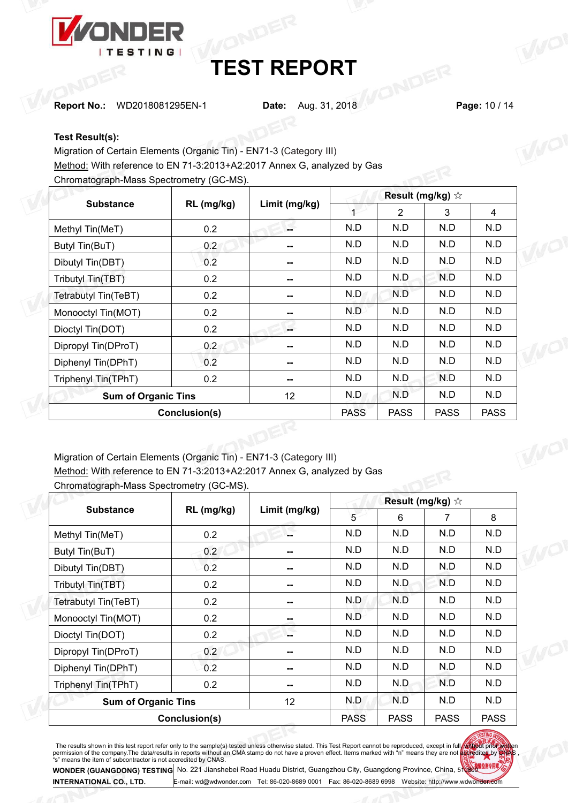

**Report No.:** WD2018081295EN-1 **Date:** Aug. 31, 2018 **Page:** 10 / 14

## **Test Result(s):**

Migration of Certain Elements (Organic Tin) - EN71-3 (Category III) Method: With reference to EN 71-3:2013+A2:2017 Annex G, analyzed by Gas

Chromatograph-Mass Spectrometry (GC-MS).

| <b>Substance</b>           | RL (mg/kg)    | Limit (mg/kg) |             | $\overline{2}$ | 3           | 4           |  |
|----------------------------|---------------|---------------|-------------|----------------|-------------|-------------|--|
| Methyl Tin(MeT)            | 0.2           | $\sim$        | N.D         | N.D            | N.D         | N.D         |  |
| Butyl Tin(BuT)             | 0.2           | $\sim$        | N.D         | N.D            | N.D         | N.D         |  |
| Dibutyl Tin(DBT)           | 0.2           | $\sim$        | N.D         | N.D            | N.D         | N.D         |  |
| Tributyl Tin(TBT)          | 0.2           | $\sim$        | N.D         | N.D            | N.D         | N.D         |  |
| Tetrabutyl Tin(TeBT)       | 0.2           | $\sim$ $\sim$ | N.D         | N.D            | N.D         | N.D         |  |
| Monooctyl Tin(MOT)         | 0.2           | $\sim$        | N.D         | N.D            | N.D         | N.D         |  |
| Dioctyl Tin(DOT)           | 0.2           | L.            | N.D         | N.D            | N.D         | N.D         |  |
| Dipropyl Tin(DProT)        | 0.2           | $\sim$        | N.D         | N.D            | N.D         | N.D         |  |
| Diphenyl Tin(DPhT)         | 0.2           | $\sim$        | N.D         | N.D            | N.D         | N.D         |  |
| Triphenyl Tin(TPhT)        | 0.2           | $\mathbf{H}$  | N.D         | N.D            | N.D         | N.D         |  |
| <b>Sum of Organic Tins</b> |               | 12            | N.D         | N.D            | N.D         | N.D         |  |
|                            | Conclusion(s) |               | <b>PASS</b> | <b>PASS</b>    | <b>PASS</b> | <b>PASS</b> |  |
|                            |               |               |             |                |             |             |  |

Migration of Certain Elements (Organic Tin) - EN71-3 (Category III) Method: With reference to EN 71-3:2013+A2:2017 Annex G, analyzed by Gas<br>Chromatograph-Mass Spectrometry (GC-MS) Chromatograph-Mass Spectrometry (GC-MS).

| <b>Substance</b>           | RL (mg/kg)    | Limit (mg/kg) | 5           | 6           | 7           | 8           |  |
|----------------------------|---------------|---------------|-------------|-------------|-------------|-------------|--|
| Methyl Tin(MeT)            | 0.2           | --            | N.D         | N.D         | N.D         | N.D         |  |
| Butyl Tin(BuT)             | 0.2           | $\sim$        | N.D         | N.D         | N.D         | N.D         |  |
| Dibutyl Tin(DBT)           | 0.2           | ⊷             | N.D         | N.D         | N.D         | N.D         |  |
| Tributyl Tin(TBT)          | 0.2           | ⊷             | N.D         | N.D         | N.D         | N.D         |  |
| Tetrabutyl Tin(TeBT)       | 0.2           | --            | N.D         | N.D         | N.D         | N.D         |  |
| Monooctyl Tin(MOT)         | 0.2           | ÷             | N.D         | N.D         | N.D         | N.D         |  |
| Dioctyl Tin(DOT)           | 0.2           | --            | N.D         | N.D         | N.D         | N.D         |  |
| Dipropyl Tin(DProT)        | 0.2           | --            | N.D         | N.D         | N.D         | N.D         |  |
| Diphenyl Tin(DPhT)         | 0.2           | н.            | N.D         | N.D         | N.D         | N.D         |  |
| Triphenyl Tin(TPhT)        | 0.2           | --            | N.D         | N.D         | N.D         | N.D         |  |
| <b>Sum of Organic Tins</b> |               | 12            | N.D         | N.D         | N.D         | N.D         |  |
|                            | Conclusion(s) |               | <b>PASS</b> | <b>PASS</b> | <b>PASS</b> | <b>PASS</b> |  |

The results shown in this test report refer only to the sample(s) tested unless otherwise stated. This Test Report cannot be reproduced, except in full we to the streport permission of the company. The data/results in repo

**WONDER (GUANGDONG) TESTING INTERNATIONAL CO., LTD.** No. <sup>221</sup> Jianshebei Road Huadu District, Guangzhou City, Guangdong Province, China, <sup>510800</sup> -mail: [wd@wdwonder.com](mailto:wd@wdwonder.com) Tel: 86-020-8689 0001 Fax: 86-020-8689 6998 Website: http://www.wdwonde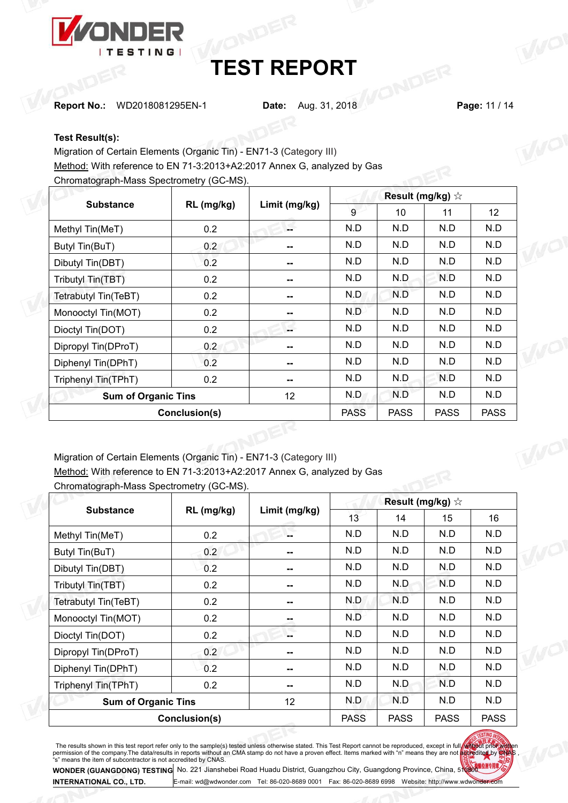

**Report No.:** WD2018081295EN-1 **Date:** Aug. 31, 2018 **Page:** 11 / 14

## **Test Result(s):**

Migration of Certain Elements (Organic Tin) - EN71-3 (Category III)

Method: With reference to EN 71-3:2013+A2:2017 Annex G, analyzed by Gas

Chromatograph-Mass Spectrometry (GC-MS).

| <b>Substance</b>           | RL (mg/kg)    | Limit (mg/kg) | 9           | 10          | 11          | 12          |              |
|----------------------------|---------------|---------------|-------------|-------------|-------------|-------------|--------------|
| Methyl Tin(MeT)            | 0.2           | £             | N.D         | N.D         | N.D         | N.D         |              |
| Butyl Tin(BuT)             | 0.2           | $\sim$        | N.D         | N.D         | N.D         | N.D         | $\theta\cup$ |
| Dibutyl Tin(DBT)           | 0.2           | $\sim$        | N.D         | N.D         | N.D         | N.D         |              |
| Tributyl Tin(TBT)          | 0.2           | --            | N.D         | N.D         | N.D         | N.D         |              |
| Tetrabutyl Tin(TeBT)       | 0.2           | $\sim$        | N.D         | N.D         | N.D         | N.D         |              |
| Monooctyl Tin(MOT)         | 0.2           | $\sim$        | N.D         | N.D         | N.D         | N.D         |              |
| Dioctyl Tin(DOT)           | 0.2           | S             | N.D         | N.D         | N.D         | N.D         |              |
| Dipropyl Tin(DProT)        | 0.2           | $\sim$        | N.D         | N.D         | N.D         | N.D         |              |
| Diphenyl Tin(DPhT)         | 0.2           | $\sim$        | N.D         | N.D         | N.D         | N.D         |              |
| Triphenyl Tin(TPhT)        | 0.2           | $\sim$        | N.D         | N.D         | N.D         | N.D         |              |
| <b>Sum of Organic Tins</b> |               | 12            | N.D         | N.D         | N.D         | N.D         |              |
|                            | Conclusion(s) |               | <b>PASS</b> | <b>PASS</b> | <b>PASS</b> | <b>PASS</b> |              |

Migration of Certain Elements (Organic Tin) - EN71-3 (Category III)

Method: With reference to EN 71-3:2013+A2:2017 Annex G, analyzed by Gas

| <b>Substance</b>           | RL (mg/kg)    | Limit (mg/kg) | 13          | 14          | 15          | 16          |  |
|----------------------------|---------------|---------------|-------------|-------------|-------------|-------------|--|
| Methyl Tin(MeT)            | 0.2           | н.            | N.D         | N.D         | N.D         | N.D         |  |
| Butyl Tin(BuT)             | 0.2           | $\mathbf{u}$  | N.D         | N.D         | N.D         | N.D         |  |
| Dibutyl Tin(DBT)           | 0.2           | --            | N.D         | N.D         | N.D         | N.D         |  |
| Tributyl Tin(TBT)          | 0.2           | --            | N.D         | N.D         | N.D         | N.D         |  |
| Tetrabutyl Tin(TeBT)       | 0.2           | --            | N.D         | N.D         | N.D         | N.D         |  |
| Monooctyl Tin(MOT)         | 0.2           | --            | N.D         | N.D         | N.D         | N.D         |  |
| Dioctyl Tin(DOT)           | 0.2           | н.            | N.D         | N.D         | N.D         | N.D         |  |
| Dipropyl Tin(DProT)        | 0.2           | --            | N.D         | N.D         | N.D         | N.D         |  |
| Diphenyl Tin(DPhT)         | 0.2           | --            | N.D         | N.D         | N.D         | N.D         |  |
| Triphenyl Tin(TPhT)        | 0.2           | --            | N.D         | N.D         | N.D         | N.D         |  |
| <b>Sum of Organic Tins</b> |               | 12            | N.D         | N.D         | N.D         | N.D         |  |
|                            | Conclusion(s) |               | <b>PASS</b> | <b>PASS</b> | <b>PASS</b> | <b>PASS</b> |  |

Chromatograph-Mass Spectrometry (GC-MS).

The results shown in this test report refer only to the sample(s) tested unless otherwise stated. This Test Report cannot be reproduced, except in full we to the streport permission of the company. The data/results in repo

**WONDER (GUANGDONG) TESTING INTERNATIONAL CO., LTD.** No. <sup>221</sup> Jianshebei Road Huadu District, Guangzhou City, Guangdong Province, China, <sup>510800</sup> -mail: [wd@wdwonder.com](mailto:wd@wdwonder.com) Tel: 86-020-8689 0001 Fax: 86-020-8689 6998 Website: http://www.wdwon<del>de</del>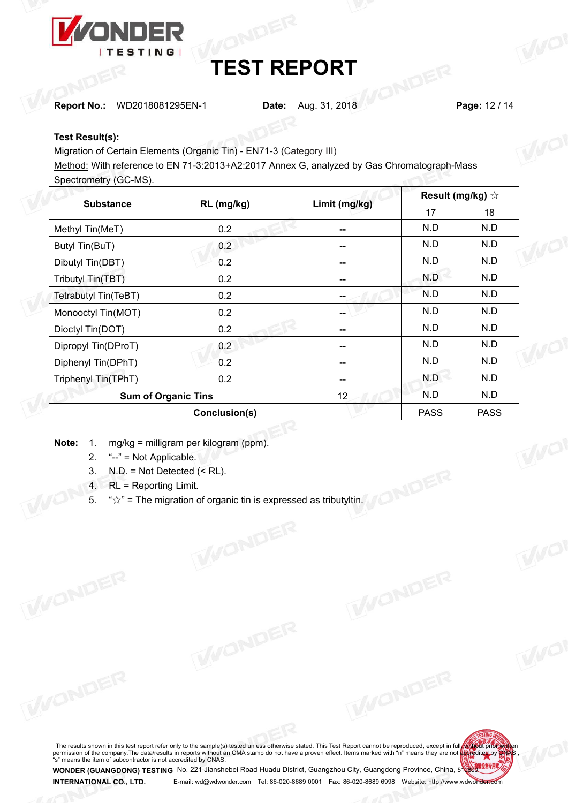

**Report No.:** WD2018081295EN-1 **Date:** Aug. 31, 2018 **Page:** 12 / 14

## **Test Result(s):**

Migration of Certain Elements (Organic Tin) - EN71-3 (Category III)

Migration of Certain Elements (Organic Tin) - EN71-3 (Category III)<br>Method: With reference to EN 71-3:2013+A2:2017 Annex G, analyzed by Gas Chromatograph-Mass Spectrometry (GC-MS).

| <b>Substance</b>     | RL (mg/kg)                 | Result (mg/kg) $\forall$<br>Limit (mg/kg)<br>17<br>N.D<br>--<br>N.D<br>--<br>N.D<br>$-$<br>N.D<br>--<br>N.D<br>--<br>N.D<br>--<br>N.D<br>--<br>N.D<br>--<br>N.D<br>--<br>N.D<br>--<br>N.D<br>12 | 18          |             |  |
|----------------------|----------------------------|-------------------------------------------------------------------------------------------------------------------------------------------------------------------------------------------------|-------------|-------------|--|
| Methyl Tin(MeT)      | 0.2                        |                                                                                                                                                                                                 |             | N.D         |  |
| Butyl Tin(BuT)       | 0.2                        |                                                                                                                                                                                                 |             | N.D         |  |
| Dibutyl Tin(DBT)     | 0.2                        |                                                                                                                                                                                                 |             | N.D         |  |
| Tributyl Tin(TBT)    | 0.2                        |                                                                                                                                                                                                 |             | N.D         |  |
| Tetrabutyl Tin(TeBT) | 0.2                        |                                                                                                                                                                                                 |             | N.D         |  |
| Monooctyl Tin(MOT)   | 0.2                        |                                                                                                                                                                                                 |             | N.D         |  |
| Dioctyl Tin(DOT)     | 0.2                        |                                                                                                                                                                                                 |             | N.D         |  |
| Dipropyl Tin(DProT)  | 0.2                        |                                                                                                                                                                                                 |             | N.D         |  |
| Diphenyl Tin(DPhT)   | 0.2                        |                                                                                                                                                                                                 |             | N.D         |  |
| Triphenyl Tin(TPhT)  | 0.2                        |                                                                                                                                                                                                 |             | N.D         |  |
|                      | <b>Sum of Organic Tins</b> |                                                                                                                                                                                                 |             | N.D         |  |
|                      | Conclusion(s)              |                                                                                                                                                                                                 | <b>PASS</b> | <b>PASS</b> |  |

- **Note:** 1. mg/kg = milligram per kilogram (ppm).
	- 2. "--" = Not Applicable.
	- 3. N.D. = Not Detected (< RL).
	- 4. RL = Reporting Limit.
	- 5. " $\forall$ " = The migration of organic tin is expressed as tributyltin.

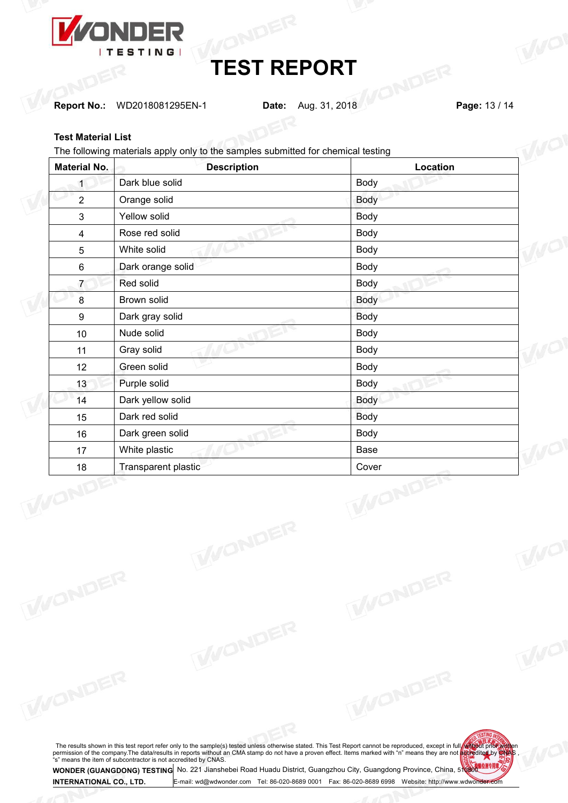

**Report No.:** WD2018081295EN-1 **Date:** Aug. 31, 2018 **Page:** 13 / 14

## **Test Material List**

The following materials apply only to the samples submitted for chemical testing

| <b>Material No.</b>     | <b>Description</b>  | Location    |  |
|-------------------------|---------------------|-------------|--|
| $\mathbf{1}$            | Dark blue solid     | Body        |  |
| $\overline{2}$          | Orange solid        | Body        |  |
| $\mathbf{3}$            | Yellow solid        | Body        |  |
| $\overline{\mathbf{4}}$ | Rose red solid      | Body        |  |
| $\overline{5}$          | White solid         | Body        |  |
| 6                       | Dark orange solid   | Body        |  |
| $\overline{7}$          | Red solid           | Body        |  |
| 8                       | Brown solid         | Body        |  |
| $\boldsymbol{9}$        | Dark gray solid     | Body        |  |
| 10                      | Nude solid          | Body        |  |
| 11                      | Gray solid          | Body        |  |
| 12                      | Green solid         | Body        |  |
| 13                      | Purple solid        | Body        |  |
| 14                      | Dark yellow solid   | Body        |  |
| 15                      | Dark red solid      | <b>Body</b> |  |
| 16                      | Dark green solid    | Body        |  |
| 17                      | White plastic       | Base        |  |
| 18                      | Transparent plastic | Cover       |  |
|                         |                     | ONDE        |  |

The results shown in this test report refer only to the sample(s) tested unless otherwise stated. This Test Report cannot be reproduced, except in full we to the streport permission of the company. The data/results in repo

E-mail: [wd@wdwonder.com](mailto:wd@wdwonder.com) Tel: 86-020-8689 0001 Fax: 86-020-8689 6998 Website: http://www.wdwonder.com